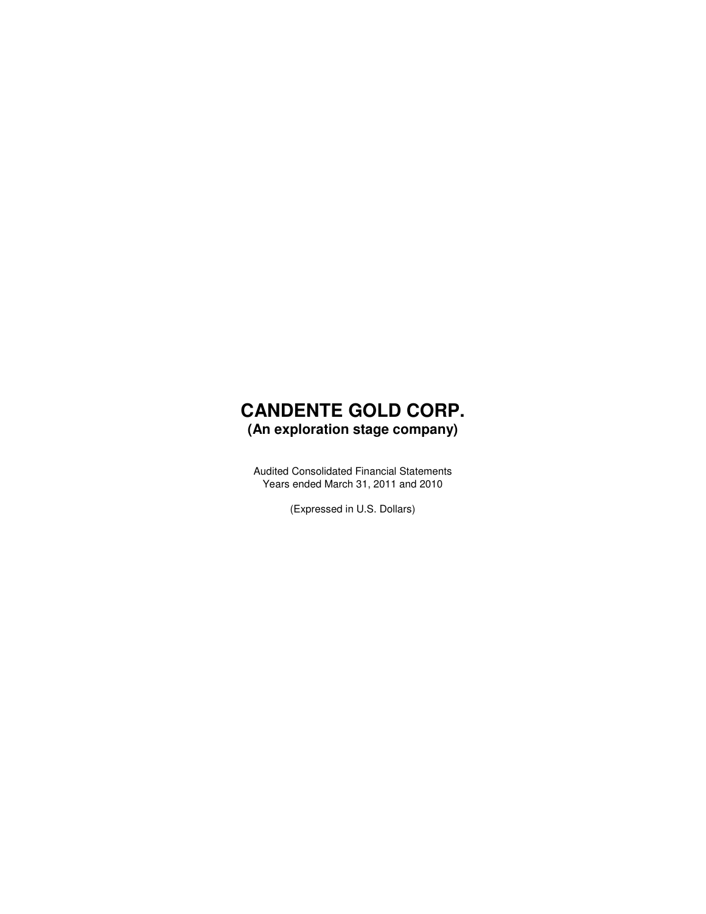## **CANDENTE GOLD CORP. (An exploration stage company)**

Audited Consolidated Financial Statements Years ended March 31, 2011 and 2010

(Expressed in U.S. Dollars)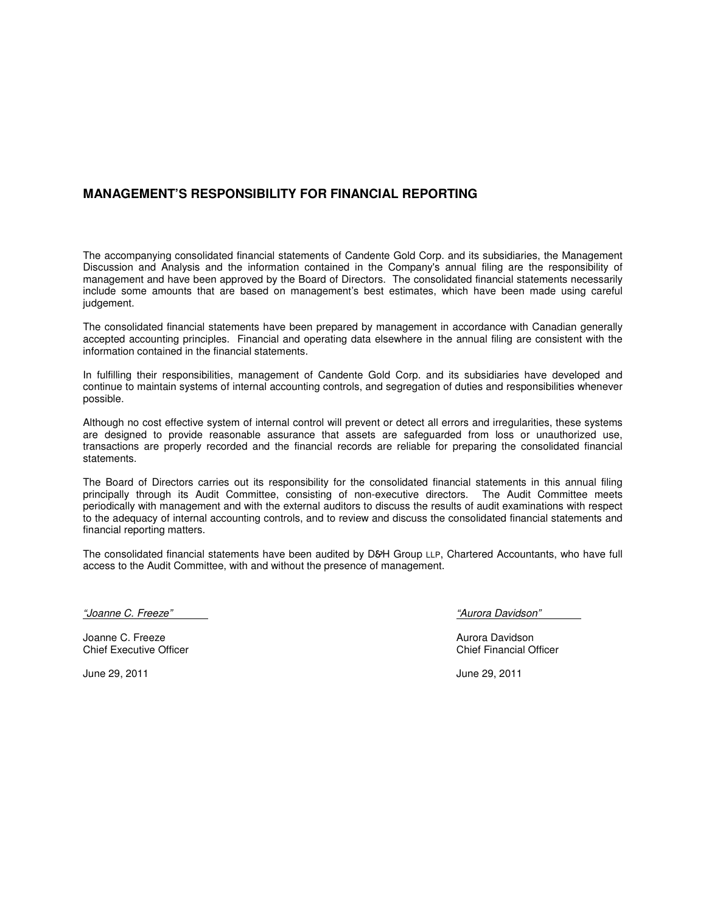## **MANAGEMENT'S RESPONSIBILITY FOR FINANCIAL REPORTING**

The accompanying consolidated financial statements of Candente Gold Corp. and its subsidiaries, the Management Discussion and Analysis and the information contained in the Company's annual filing are the responsibility of management and have been approved by the Board of Directors. The consolidated financial statements necessarily include some amounts that are based on management's best estimates, which have been made using careful judgement.

The consolidated financial statements have been prepared by management in accordance with Canadian generally accepted accounting principles. Financial and operating data elsewhere in the annual filing are consistent with the information contained in the financial statements.

In fulfilling their responsibilities, management of Candente Gold Corp. and its subsidiaries have developed and continue to maintain systems of internal accounting controls, and segregation of duties and responsibilities whenever possible.

Although no cost effective system of internal control will prevent or detect all errors and irregularities, these systems are designed to provide reasonable assurance that assets are safeguarded from loss or unauthorized use, transactions are properly recorded and the financial records are reliable for preparing the consolidated financial statements.

The Board of Directors carries out its responsibility for the consolidated financial statements in this annual filing principally through its Audit Committee, consisting of non-executive directors. The Audit Committee meets periodically with management and with the external auditors to discuss the results of audit examinations with respect to the adequacy of internal accounting controls, and to review and discuss the consolidated financial statements and financial reporting matters.

The consolidated financial statements have been audited by D&H Group LLP, Chartered Accountants, who have full access to the Audit Committee, with and without the presence of management.

"Joanne C. Freeze"  $\blacksquare$ 

Joanne C. Freeze Aurora Davidson Chief Executive Officer Chief Financial Officer Chief Financial Officer

June 29, 2011 June 29, 2011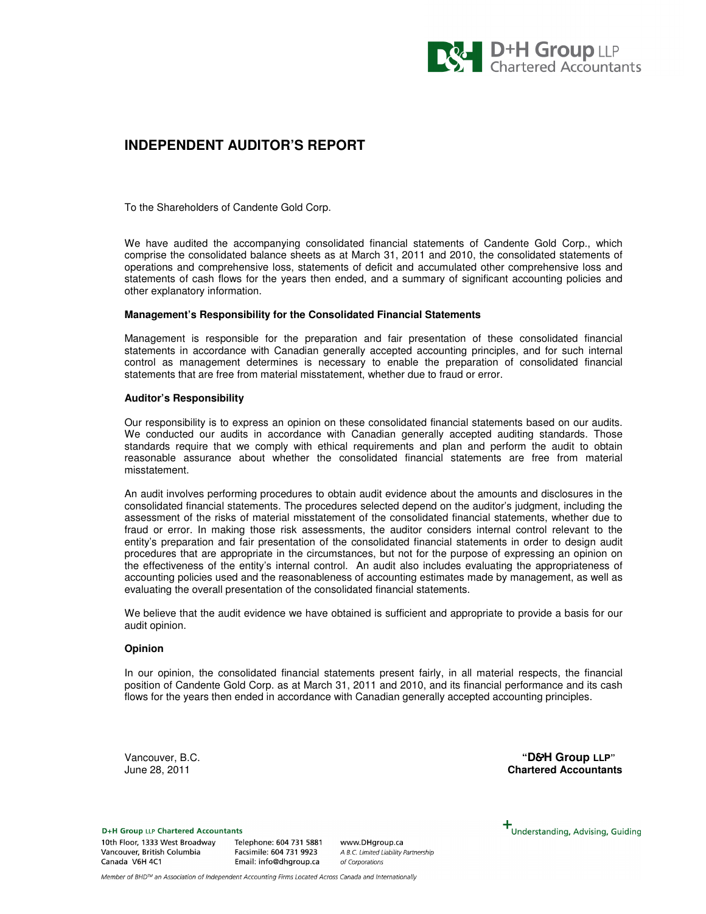

## **INDEPENDENT AUDITOR'S REPORT**

To the Shareholders of Candente Gold Corp.

We have audited the accompanying consolidated financial statements of Candente Gold Corp., which comprise the consolidated balance sheets as at March 31, 2011 and 2010, the consolidated statements of operations and comprehensive loss, statements of deficit and accumulated other comprehensive loss and statements of cash flows for the years then ended, and a summary of significant accounting policies and other explanatory information.

#### **Management's Responsibility for the Consolidated Financial Statements**

Management is responsible for the preparation and fair presentation of these consolidated financial statements in accordance with Canadian generally accepted accounting principles, and for such internal control as management determines is necessary to enable the preparation of consolidated financial statements that are free from material misstatement, whether due to fraud or error.

#### **Auditor's Responsibility**

Our responsibility is to express an opinion on these consolidated financial statements based on our audits. We conducted our audits in accordance with Canadian generally accepted auditing standards. Those standards require that we comply with ethical requirements and plan and perform the audit to obtain reasonable assurance about whether the consolidated financial statements are free from material misstatement.

An audit involves performing procedures to obtain audit evidence about the amounts and disclosures in the consolidated financial statements. The procedures selected depend on the auditor's judgment, including the assessment of the risks of material misstatement of the consolidated financial statements, whether due to fraud or error. In making those risk assessments, the auditor considers internal control relevant to the entity's preparation and fair presentation of the consolidated financial statements in order to design audit procedures that are appropriate in the circumstances, but not for the purpose of expressing an opinion on the effectiveness of the entity's internal control. An audit also includes evaluating the appropriateness of accounting policies used and the reasonableness of accounting estimates made by management, as well as evaluating the overall presentation of the consolidated financial statements.

We believe that the audit evidence we have obtained is sufficient and appropriate to provide a basis for our audit opinion.

#### **Opinion**

In our opinion, the consolidated financial statements present fairly, in all material respects, the financial position of Candente Gold Corp. as at March 31, 2011 and 2010, and its financial performance and its cash flows for the years then ended in accordance with Canadian generally accepted accounting principles.

Vancouver, B.C. **"D**&**H Group LLP" Chartered Accountants** 

**D+H Group LLP Chartered Accountants** 10th Floor, 1333 West Broadway Vancouver, British Columbia

Canada V6H 4C1

Telephone: 604 731 5881 Facsimile: 604 731 9923 Email: info@dhgroup.ca

www.DHgroup.ca A B.C. Limited Liability Partnership of Corporations

 $\bm{+}$ Understanding, Advising, Guiding

Member of BHD™ an Association of Independent Accounting Firms Located Across Canada and Internationally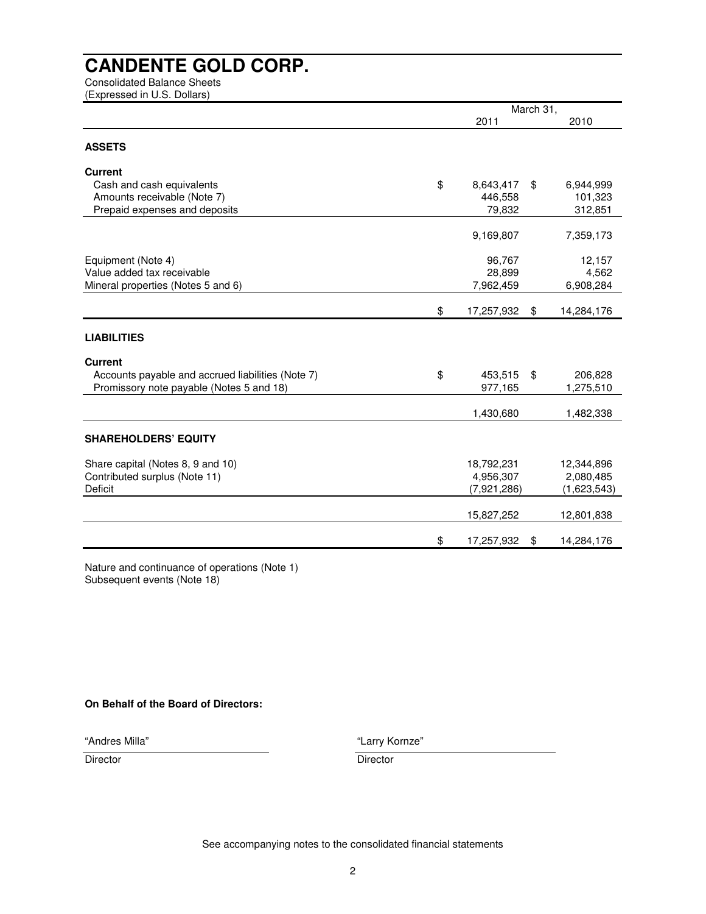Consolidated Balance Sheets (Expressed in U.S. Dollars)

|                                                   | March 31,        |    |             |
|---------------------------------------------------|------------------|----|-------------|
|                                                   | 2011             |    | 2010        |
| <b>ASSETS</b>                                     |                  |    |             |
| <b>Current</b>                                    |                  |    |             |
| Cash and cash equivalents                         | \$<br>8,643,417  | \$ | 6,944,999   |
| Amounts receivable (Note 7)                       | 446,558          |    | 101,323     |
| Prepaid expenses and deposits                     | 79,832           |    | 312,851     |
|                                                   | 9,169,807        |    | 7,359,173   |
| Equipment (Note 4)                                | 96,767           |    | 12,157      |
| Value added tax receivable                        | 28,899           |    | 4,562       |
| Mineral properties (Notes 5 and 6)                | 7,962,459        |    | 6,908,284   |
|                                                   |                  |    |             |
|                                                   | \$<br>17,257,932 | \$ | 14,284,176  |
| <b>LIABILITIES</b>                                |                  |    |             |
| <b>Current</b>                                    |                  |    |             |
| Accounts payable and accrued liabilities (Note 7) | \$<br>453,515    | \$ | 206,828     |
| Promissory note payable (Notes 5 and 18)          | 977,165          |    | 1,275,510   |
|                                                   | 1,430,680        |    | 1,482,338   |
| <b>SHAREHOLDERS' EQUITY</b>                       |                  |    |             |
|                                                   |                  |    |             |
| Share capital (Notes 8, 9 and 10)                 | 18,792,231       |    | 12,344,896  |
| Contributed surplus (Note 11)                     | 4,956,307        |    | 2,080,485   |
| <b>Deficit</b>                                    | (7,921,286)      |    | (1,623,543) |
|                                                   | 15,827,252       |    | 12,801,838  |
|                                                   |                  |    |             |
|                                                   | \$<br>17,257,932 | \$ | 14,284,176  |

Nature and continuance of operations (Note 1) Subsequent events (Note 18)

## **On Behalf of the Board of Directors:**

"Andres Milla"

"Larry Kornze"

Director Director Director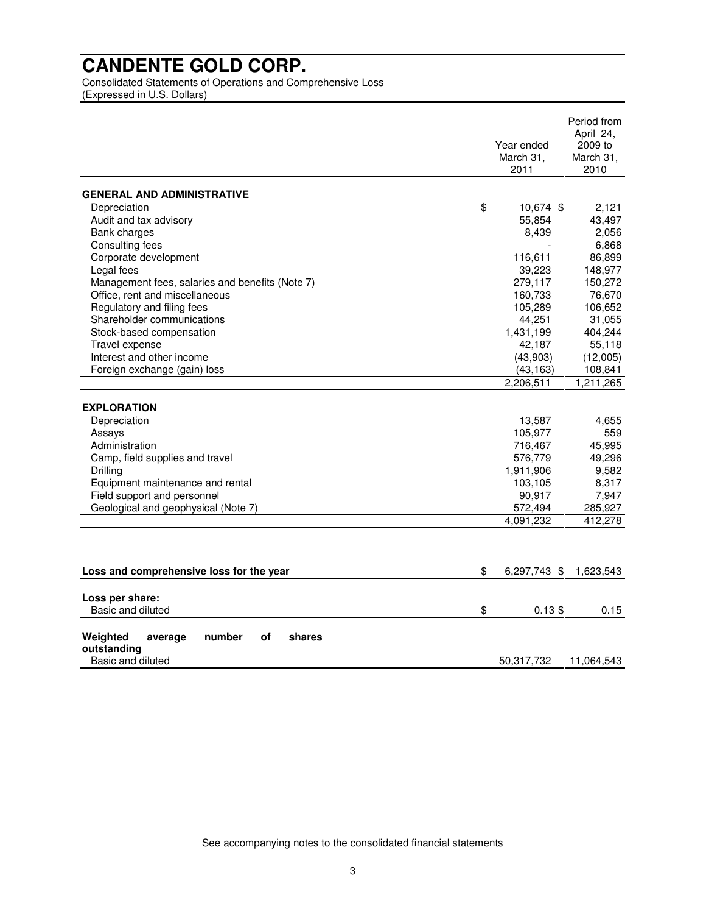Consolidated Statements of Operations and Comprehensive Loss (Expressed in U.S. Dollars)

|                                                                                                                                                   | Year ended<br>March 31,<br>2011                                 | Period from<br>April 24,<br>2009 to<br>March 31,<br>2010 |
|---------------------------------------------------------------------------------------------------------------------------------------------------|-----------------------------------------------------------------|----------------------------------------------------------|
|                                                                                                                                                   |                                                                 |                                                          |
| <b>GENERAL AND ADMINISTRATIVE</b>                                                                                                                 |                                                                 |                                                          |
| Depreciation                                                                                                                                      | \$<br>10,674 \$                                                 | 2,121                                                    |
| Audit and tax advisory                                                                                                                            | 55,854                                                          | 43,497                                                   |
| Bank charges                                                                                                                                      | 8,439                                                           | 2,056                                                    |
| Consulting fees                                                                                                                                   |                                                                 | 6,868                                                    |
| Corporate development                                                                                                                             | 116,611                                                         | 86,899                                                   |
| Legal fees                                                                                                                                        | 39,223                                                          | 148,977                                                  |
| Management fees, salaries and benefits (Note 7)                                                                                                   | 279,117                                                         | 150,272                                                  |
| Office, rent and miscellaneous                                                                                                                    | 160,733                                                         | 76,670                                                   |
| Regulatory and filing fees                                                                                                                        | 105,289                                                         | 106,652                                                  |
| Shareholder communications                                                                                                                        | 44,251                                                          | 31,055                                                   |
| Stock-based compensation                                                                                                                          | 1,431,199                                                       | 404,244                                                  |
| Travel expense<br>Interest and other income                                                                                                       | 42,187                                                          | 55,118                                                   |
|                                                                                                                                                   | (43,903)                                                        | (12,005)                                                 |
| Foreign exchange (gain) loss                                                                                                                      | (43, 163)<br>2,206,511                                          | 108,841<br>1,211,265                                     |
| <b>EXPLORATION</b><br>Depreciation<br>Assays<br>Administration<br>Camp, field supplies and travel<br>Drilling<br>Equipment maintenance and rental | 13,587<br>105,977<br>716,467<br>576,779<br>1,911,906<br>103,105 | 4,655<br>559<br>45,995<br>49,296<br>9,582<br>8,317       |
| Field support and personnel                                                                                                                       | 90,917                                                          | 7,947                                                    |
| Geological and geophysical (Note 7)                                                                                                               | 572,494                                                         | 285,927                                                  |
|                                                                                                                                                   | 4,091,232                                                       | 412,278                                                  |
| Loss and comprehensive loss for the year                                                                                                          | \$<br>6,297,743 \$                                              | 1,623,543                                                |
|                                                                                                                                                   |                                                                 |                                                          |
| Loss per share:<br>Basic and diluted                                                                                                              | \$<br>$0.13$ \$                                                 | 0.15                                                     |
| Weighted<br>of<br>average<br>number<br>shares<br>outstanding<br>Basic and diluted                                                                 | 50,317,732                                                      | 11,064,543                                               |

See accompanying notes to the consolidated financial statements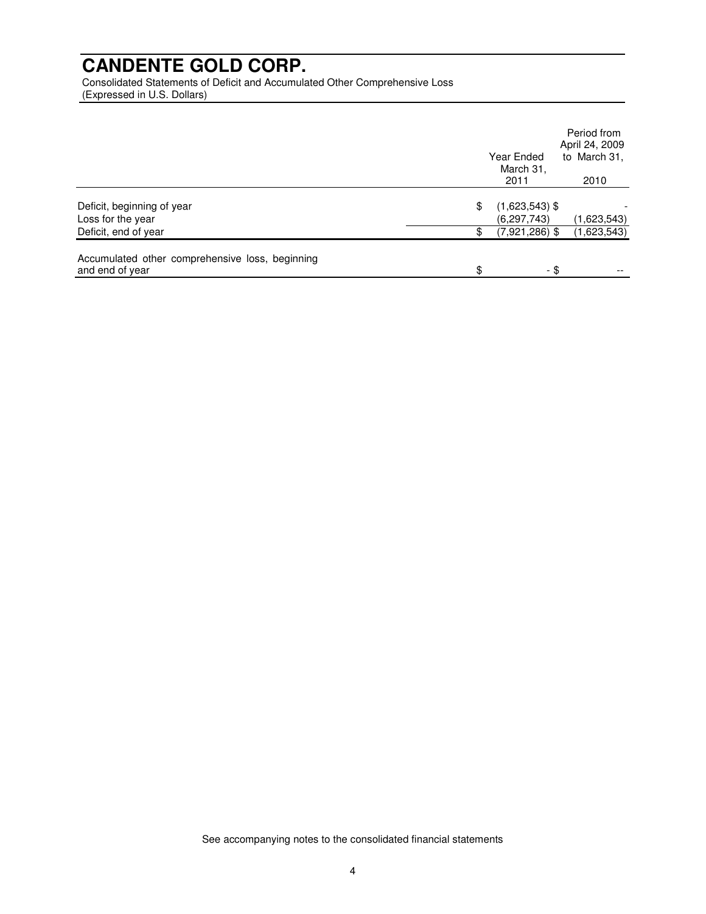Consolidated Statements of Deficit and Accumulated Other Comprehensive Loss (Expressed in U.S. Dollars)

|                                                                    | Year Ended<br>March 31,<br>2011 | Period from<br>April 24, 2009<br>to March 31.<br>2010 |
|--------------------------------------------------------------------|---------------------------------|-------------------------------------------------------|
|                                                                    |                                 |                                                       |
| Deficit, beginning of year                                         | \$<br>$(1,623,543)$ \$          |                                                       |
| Loss for the year                                                  | (6, 297, 743)                   | (1,623,543)                                           |
| Deficit, end of year                                               | \$<br>$(7,921,286)$ \$          | (1,623,543)                                           |
| Accumulated other comprehensive loss, beginning<br>and end of year | \$<br>- \$                      |                                                       |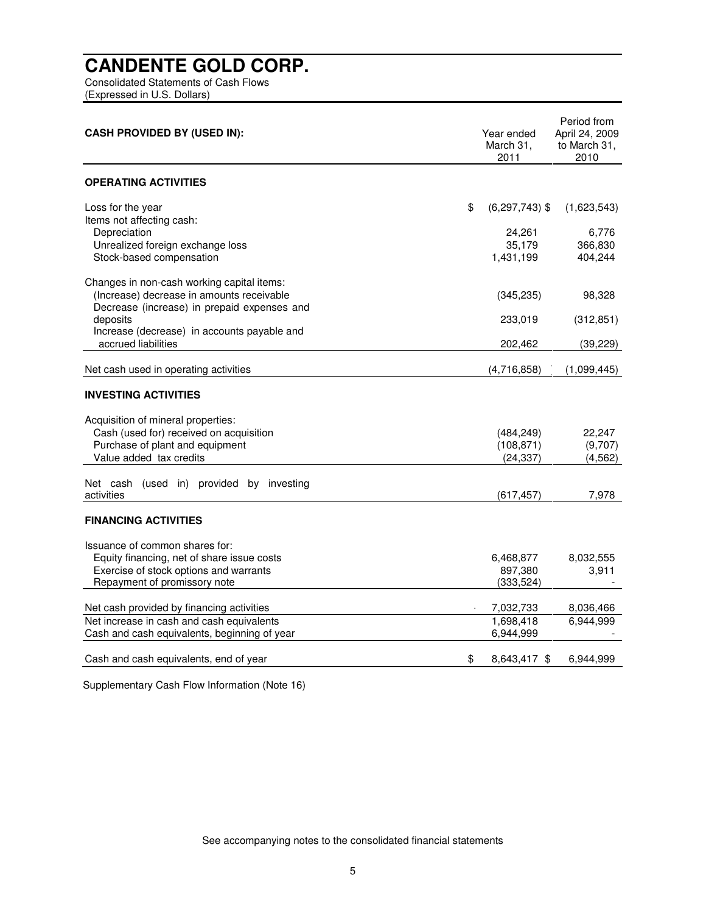Consolidated Statements of Cash Flows (Expressed in U.S. Dollars)

| <b>CASH PROVIDED BY (USED IN):</b>                                                       | Year ended<br>March 31,<br>2011 | Period from<br>April 24, 2009<br>to March 31,<br>2010 |
|------------------------------------------------------------------------------------------|---------------------------------|-------------------------------------------------------|
| <b>OPERATING ACTIVITIES</b>                                                              |                                 |                                                       |
| \$<br>Loss for the year<br>Items not affecting cash:                                     | $(6,297,743)$ \$                | (1,623,543)                                           |
| Depreciation                                                                             | 24,261                          | 6,776                                                 |
| Unrealized foreign exchange loss                                                         | 35,179                          | 366,830                                               |
| Stock-based compensation                                                                 | 1,431,199                       | 404,244                                               |
| Changes in non-cash working capital items:                                               |                                 |                                                       |
| (Increase) decrease in amounts receivable<br>Decrease (increase) in prepaid expenses and | (345, 235)                      | 98,328                                                |
| deposits                                                                                 | 233,019                         | (312, 851)                                            |
| Increase (decrease) in accounts payable and<br>accrued liabilities                       | 202,462                         | (39, 229)                                             |
| Net cash used in operating activities                                                    | (4,716,858)                     | (1,099,445)                                           |
| <b>INVESTING ACTIVITIES</b>                                                              |                                 |                                                       |
| Acquisition of mineral properties:                                                       |                                 |                                                       |
| Cash (used for) received on acquisition                                                  | (484, 249)                      | 22,247                                                |
| Purchase of plant and equipment                                                          | (108, 871)                      | (9,707)                                               |
| Value added tax credits                                                                  | (24, 337)                       | (4, 562)                                              |
| Net cash (used in) provided by investing<br>activities                                   | (617, 457)                      | 7,978                                                 |
|                                                                                          |                                 |                                                       |
| <b>FINANCING ACTIVITIES</b>                                                              |                                 |                                                       |
| Issuance of common shares for:                                                           |                                 |                                                       |
| Equity financing, net of share issue costs                                               | 6,468,877                       | 8,032,555                                             |
| Exercise of stock options and warrants                                                   | 897,380                         | 3,911                                                 |
| Repayment of promissory note                                                             | (333, 524)                      |                                                       |
| Net cash provided by financing activities                                                | 7,032,733                       | 8,036,466                                             |
| Net increase in cash and cash equivalents                                                | 1,698,418                       | 6,944,999                                             |
| Cash and cash equivalents, beginning of year                                             | 6,944,999                       |                                                       |
| \$<br>Cash and cash equivalents, end of year                                             | 8,643,417 \$                    | 6,944,999                                             |

Supplementary Cash Flow Information (Note 16)

See accompanying notes to the consolidated financial statements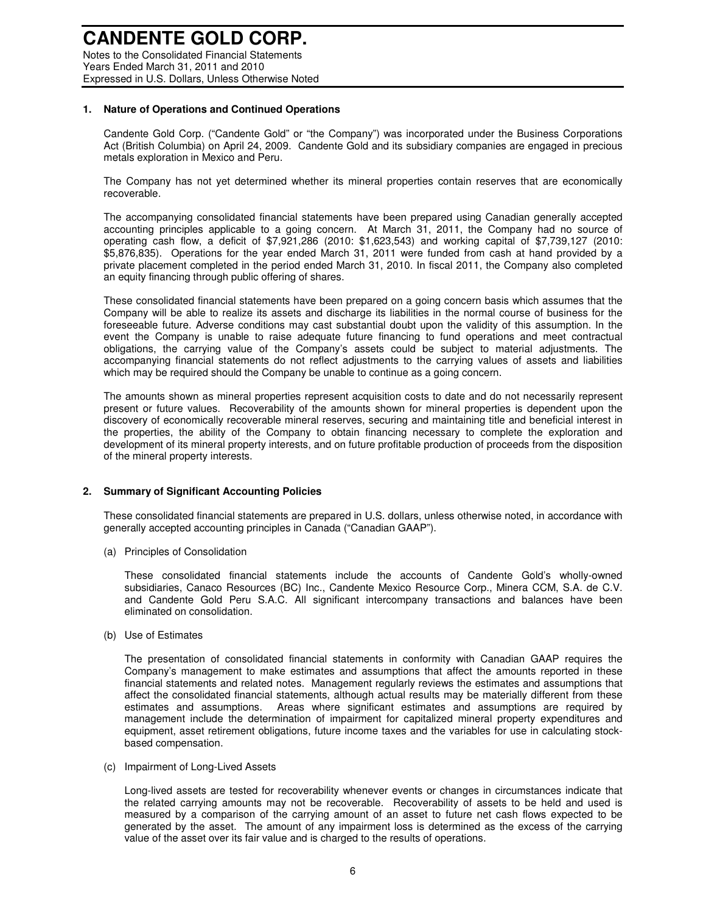Years Ended March 31, 2011 and 2010 Expressed in U.S. Dollars, Unless Otherwise Noted

## **1. Nature of Operations and Continued Operations**

Candente Gold Corp. ("Candente Gold" or "the Company") was incorporated under the Business Corporations Act (British Columbia) on April 24, 2009. Candente Gold and its subsidiary companies are engaged in precious metals exploration in Mexico and Peru.

The Company has not yet determined whether its mineral properties contain reserves that are economically recoverable.

The accompanying consolidated financial statements have been prepared using Canadian generally accepted accounting principles applicable to a going concern. At March 31, 2011, the Company had no source of operating cash flow, a deficit of \$7,921,286 (2010: \$1,623,543) and working capital of \$7,739,127 (2010: \$5,876,835). Operations for the year ended March 31, 2011 were funded from cash at hand provided by a private placement completed in the period ended March 31, 2010. In fiscal 2011, the Company also completed an equity financing through public offering of shares.

These consolidated financial statements have been prepared on a going concern basis which assumes that the Company will be able to realize its assets and discharge its liabilities in the normal course of business for the foreseeable future. Adverse conditions may cast substantial doubt upon the validity of this assumption. In the event the Company is unable to raise adequate future financing to fund operations and meet contractual obligations, the carrying value of the Company's assets could be subject to material adjustments. The accompanying financial statements do not reflect adjustments to the carrying values of assets and liabilities which may be required should the Company be unable to continue as a going concern.

The amounts shown as mineral properties represent acquisition costs to date and do not necessarily represent present or future values. Recoverability of the amounts shown for mineral properties is dependent upon the discovery of economically recoverable mineral reserves, securing and maintaining title and beneficial interest in the properties, the ability of the Company to obtain financing necessary to complete the exploration and development of its mineral property interests, and on future profitable production of proceeds from the disposition of the mineral property interests.

## **2. Summary of Significant Accounting Policies**

These consolidated financial statements are prepared in U.S. dollars, unless otherwise noted, in accordance with generally accepted accounting principles in Canada ("Canadian GAAP").

(a) Principles of Consolidation

These consolidated financial statements include the accounts of Candente Gold's wholly-owned subsidiaries, Canaco Resources (BC) Inc., Candente Mexico Resource Corp., Minera CCM, S.A. de C.V. and Candente Gold Peru S.A.C. All significant intercompany transactions and balances have been eliminated on consolidation.

(b) Use of Estimates

The presentation of consolidated financial statements in conformity with Canadian GAAP requires the Company's management to make estimates and assumptions that affect the amounts reported in these financial statements and related notes. Management regularly reviews the estimates and assumptions that affect the consolidated financial statements, although actual results may be materially different from these estimates and assumptions. Areas where significant estimates and assumptions are required by management include the determination of impairment for capitalized mineral property expenditures and equipment, asset retirement obligations, future income taxes and the variables for use in calculating stockbased compensation.

(c) Impairment of Long-Lived Assets

Long-lived assets are tested for recoverability whenever events or changes in circumstances indicate that the related carrying amounts may not be recoverable. Recoverability of assets to be held and used is measured by a comparison of the carrying amount of an asset to future net cash flows expected to be generated by the asset. The amount of any impairment loss is determined as the excess of the carrying value of the asset over its fair value and is charged to the results of operations.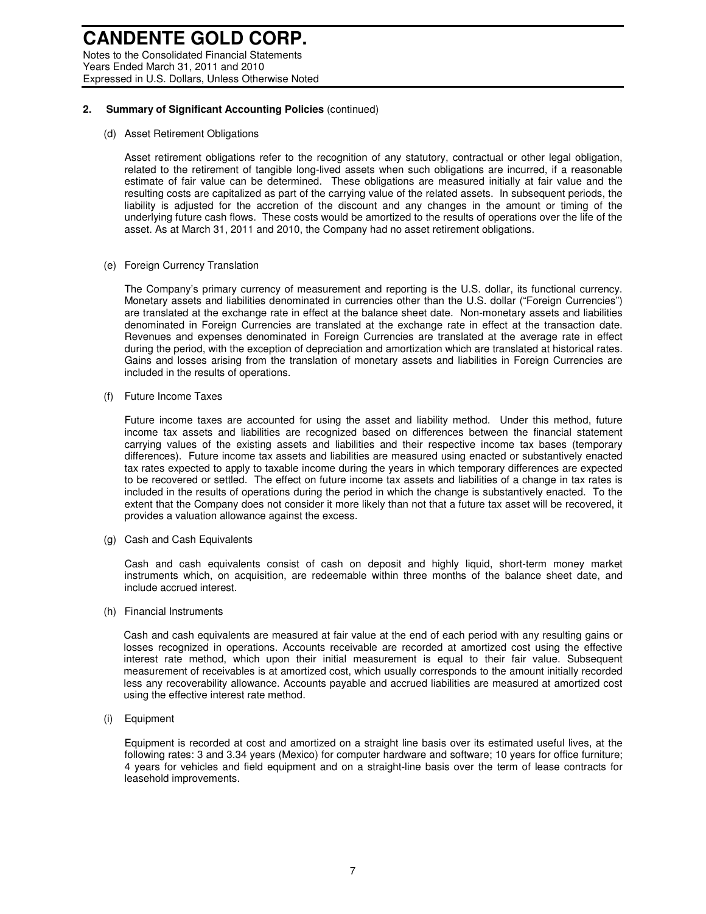Notes to the Consolidated Financial Statements Years Ended March 31, 2011 and 2010 Expressed in U.S. Dollars, Unless Otherwise Noted

## **2. Summary of Significant Accounting Policies** (continued)

(d) Asset Retirement Obligations

Asset retirement obligations refer to the recognition of any statutory, contractual or other legal obligation, related to the retirement of tangible long-lived assets when such obligations are incurred, if a reasonable estimate of fair value can be determined. These obligations are measured initially at fair value and the resulting costs are capitalized as part of the carrying value of the related assets. In subsequent periods, the liability is adjusted for the accretion of the discount and any changes in the amount or timing of the underlying future cash flows. These costs would be amortized to the results of operations over the life of the asset. As at March 31, 2011 and 2010, the Company had no asset retirement obligations.

(e) Foreign Currency Translation

The Company's primary currency of measurement and reporting is the U.S. dollar, its functional currency. Monetary assets and liabilities denominated in currencies other than the U.S. dollar ("Foreign Currencies") are translated at the exchange rate in effect at the balance sheet date. Non-monetary assets and liabilities denominated in Foreign Currencies are translated at the exchange rate in effect at the transaction date. Revenues and expenses denominated in Foreign Currencies are translated at the average rate in effect during the period, with the exception of depreciation and amortization which are translated at historical rates. Gains and losses arising from the translation of monetary assets and liabilities in Foreign Currencies are included in the results of operations.

(f) Future Income Taxes

Future income taxes are accounted for using the asset and liability method. Under this method, future income tax assets and liabilities are recognized based on differences between the financial statement carrying values of the existing assets and liabilities and their respective income tax bases (temporary differences). Future income tax assets and liabilities are measured using enacted or substantively enacted tax rates expected to apply to taxable income during the years in which temporary differences are expected to be recovered or settled. The effect on future income tax assets and liabilities of a change in tax rates is included in the results of operations during the period in which the change is substantively enacted. To the extent that the Company does not consider it more likely than not that a future tax asset will be recovered, it provides a valuation allowance against the excess.

(g) Cash and Cash Equivalents

Cash and cash equivalents consist of cash on deposit and highly liquid, short-term money market instruments which, on acquisition, are redeemable within three months of the balance sheet date, and include accrued interest.

(h) Financial Instruments

Cash and cash equivalents are measured at fair value at the end of each period with any resulting gains or losses recognized in operations. Accounts receivable are recorded at amortized cost using the effective interest rate method, which upon their initial measurement is equal to their fair value. Subsequent measurement of receivables is at amortized cost, which usually corresponds to the amount initially recorded less any recoverability allowance. Accounts payable and accrued liabilities are measured at amortized cost using the effective interest rate method.

(i) Equipment

Equipment is recorded at cost and amortized on a straight line basis over its estimated useful lives, at the following rates: 3 and 3.34 years (Mexico) for computer hardware and software; 10 years for office furniture; 4 years for vehicles and field equipment and on a straight-line basis over the term of lease contracts for leasehold improvements.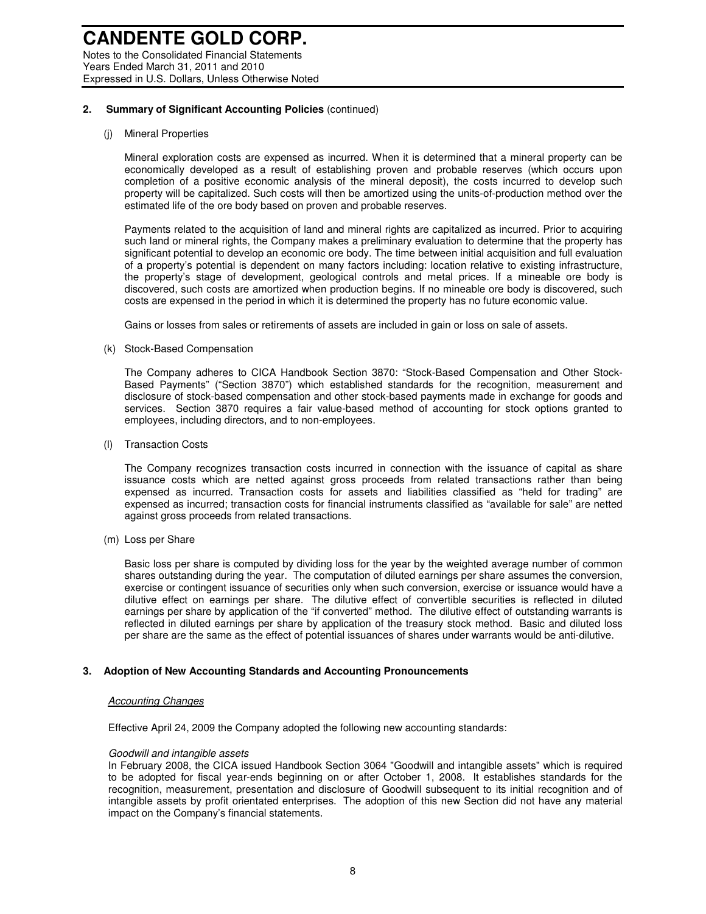Expressed in U.S. Dollars, Unless Otherwise Noted

## **2. Summary of Significant Accounting Policies** (continued)

## (j) Mineral Properties

Years Ended March 31, 2011 and 2010

Mineral exploration costs are expensed as incurred. When it is determined that a mineral property can be economically developed as a result of establishing proven and probable reserves (which occurs upon completion of a positive economic analysis of the mineral deposit), the costs incurred to develop such property will be capitalized. Such costs will then be amortized using the units-of-production method over the estimated life of the ore body based on proven and probable reserves.

Payments related to the acquisition of land and mineral rights are capitalized as incurred. Prior to acquiring such land or mineral rights, the Company makes a preliminary evaluation to determine that the property has significant potential to develop an economic ore body. The time between initial acquisition and full evaluation of a property's potential is dependent on many factors including: location relative to existing infrastructure, the property's stage of development, geological controls and metal prices. If a mineable ore body is discovered, such costs are amortized when production begins. If no mineable ore body is discovered, such costs are expensed in the period in which it is determined the property has no future economic value.

Gains or losses from sales or retirements of assets are included in gain or loss on sale of assets.

#### (k) Stock-Based Compensation

The Company adheres to CICA Handbook Section 3870: "Stock-Based Compensation and Other Stock-Based Payments" ("Section 3870") which established standards for the recognition, measurement and disclosure of stock-based compensation and other stock-based payments made in exchange for goods and services. Section 3870 requires a fair value-based method of accounting for stock options granted to employees, including directors, and to non-employees.

(l) Transaction Costs

The Company recognizes transaction costs incurred in connection with the issuance of capital as share issuance costs which are netted against gross proceeds from related transactions rather than being expensed as incurred. Transaction costs for assets and liabilities classified as "held for trading" are expensed as incurred; transaction costs for financial instruments classified as "available for sale" are netted against gross proceeds from related transactions.

(m) Loss per Share

Basic loss per share is computed by dividing loss for the year by the weighted average number of common shares outstanding during the year. The computation of diluted earnings per share assumes the conversion, exercise or contingent issuance of securities only when such conversion, exercise or issuance would have a dilutive effect on earnings per share. The dilutive effect of convertible securities is reflected in diluted earnings per share by application of the "if converted" method. The dilutive effect of outstanding warrants is reflected in diluted earnings per share by application of the treasury stock method. Basic and diluted loss per share are the same as the effect of potential issuances of shares under warrants would be anti-dilutive.

## **3. Adoption of New Accounting Standards and Accounting Pronouncements**

#### Accounting Changes

Effective April 24, 2009 the Company adopted the following new accounting standards:

#### Goodwill and intangible assets

In February 2008, the CICA issued Handbook Section 3064 "Goodwill and intangible assets" which is required to be adopted for fiscal year-ends beginning on or after October 1, 2008. It establishes standards for the recognition, measurement, presentation and disclosure of Goodwill subsequent to its initial recognition and of intangible assets by profit orientated enterprises. The adoption of this new Section did not have any material impact on the Company's financial statements.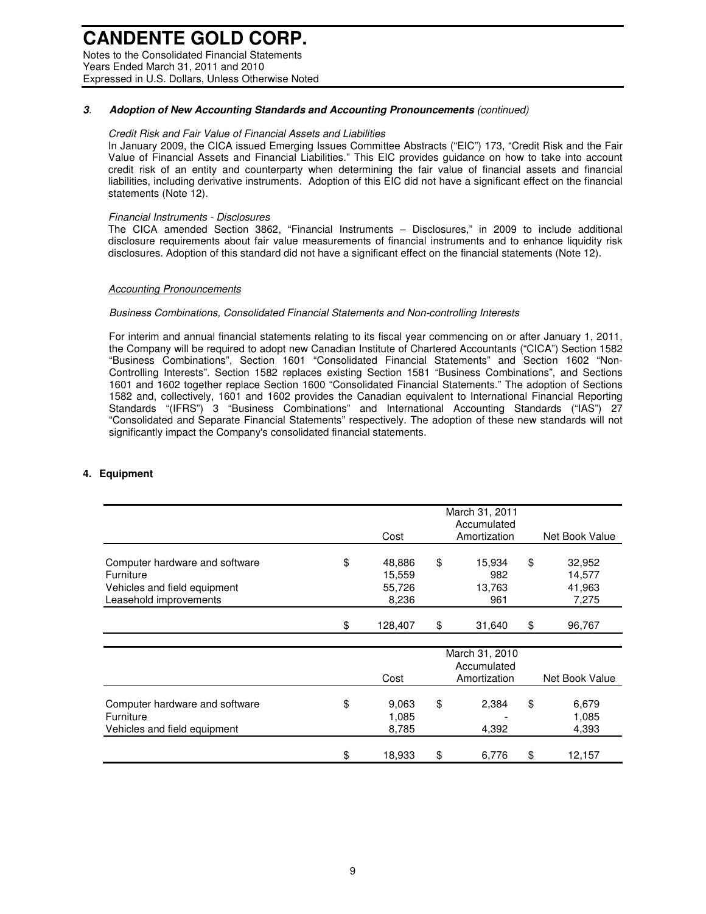Notes to the Consolidated Financial Statements Years Ended March 31, 2011 and 2010 Expressed in U.S. Dollars, Unless Otherwise Noted

## **3**. **Adoption of New Accounting Standards and Accounting Pronouncements** (continued)

## Credit Risk and Fair Value of Financial Assets and Liabilities

In January 2009, the CICA issued Emerging Issues Committee Abstracts ("EIC") 173, "Credit Risk and the Fair Value of Financial Assets and Financial Liabilities." This EIC provides guidance on how to take into account credit risk of an entity and counterparty when determining the fair value of financial assets and financial liabilities, including derivative instruments. Adoption of this EIC did not have a significant effect on the financial statements (Note 12).

## Financial Instruments - Disclosures

The CICA amended Section 3862, "Financial Instruments – Disclosures," in 2009 to include additional disclosure requirements about fair value measurements of financial instruments and to enhance liquidity risk disclosures. Adoption of this standard did not have a significant effect on the financial statements (Note 12).

## Accounting Pronouncements

## Business Combinations, Consolidated Financial Statements and Non-controlling Interests

For interim and annual financial statements relating to its fiscal year commencing on or after January 1, 2011, the Company will be required to adopt new Canadian Institute of Chartered Accountants ("CICA") Section 1582 "Business Combinations", Section 1601 "Consolidated Financial Statements" and Section 1602 "Non-Controlling Interests". Section 1582 replaces existing Section 1581 "Business Combinations", and Sections 1601 and 1602 together replace Section 1600 "Consolidated Financial Statements." The adoption of Sections 1582 and, collectively, 1601 and 1602 provides the Canadian equivalent to International Financial Reporting Standards "(IFRS") 3 "Business Combinations" and International Accounting Standards ("IAS") 27 "Consolidated and Separate Financial Statements" respectively. The adoption of these new standards will not significantly impact the Company's consolidated financial statements.

## **4. Equipment**

|                                |               | March 31, 2011 |                |
|--------------------------------|---------------|----------------|----------------|
|                                |               | Accumulated    |                |
|                                | Cost          | Amortization   | Net Book Value |
|                                |               |                |                |
| Computer hardware and software | \$<br>48,886  | \$<br>15,934   | \$<br>32,952   |
| Furniture                      | 15,559        | 982            | 14,577         |
| Vehicles and field equipment   | 55,726        | 13,763         | 41,963         |
| Leasehold improvements         | 8,236         | 961            | 7,275          |
|                                |               |                |                |
|                                | \$<br>128,407 | \$<br>31,640   | \$<br>96,767   |
|                                |               |                |                |
|                                |               | March 31, 2010 |                |
|                                |               | Accumulated    |                |
|                                | Cost          | Amortization   | Net Book Value |
|                                |               |                |                |
| Computer hardware and software | \$<br>9,063   | \$<br>2,384    | \$<br>6,679    |
| Furniture                      | 1,085         |                | 1,085          |
| Vehicles and field equipment   | 8,785         | 4,392          | 4,393          |
|                                |               |                |                |
|                                | \$<br>18,933  | \$<br>6,776    | \$<br>12,157   |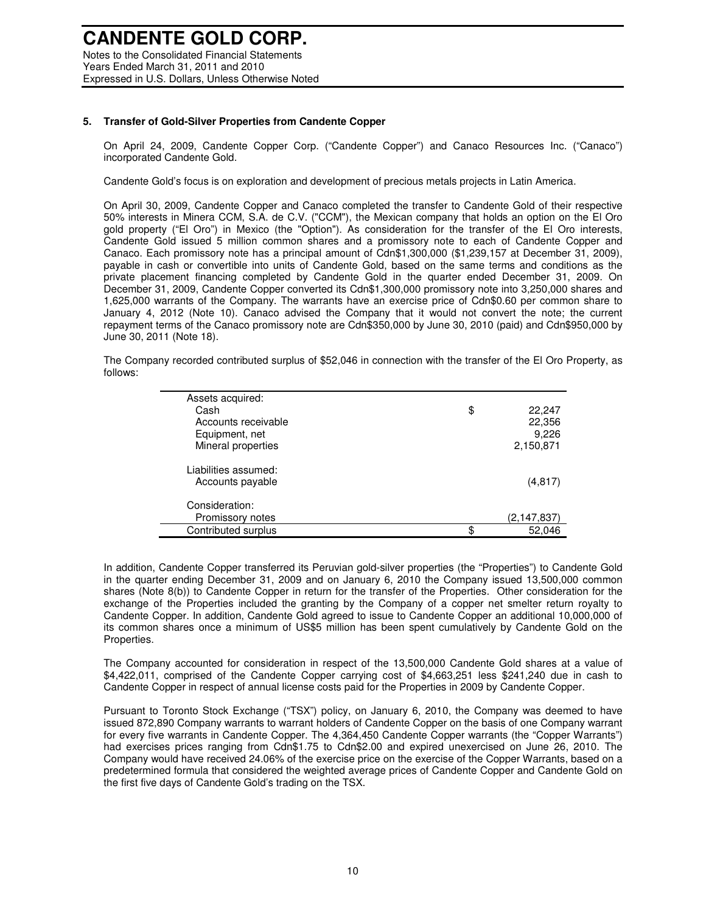## **5. Transfer of Gold-Silver Properties from Candente Copper**

On April 24, 2009, Candente Copper Corp. ("Candente Copper") and Canaco Resources Inc. ("Canaco") incorporated Candente Gold.

Candente Gold's focus is on exploration and development of precious metals projects in Latin America.

On April 30, 2009, Candente Copper and Canaco completed the transfer to Candente Gold of their respective 50% interests in Minera CCM, S.A. de C.V. ("CCM"), the Mexican company that holds an option on the El Oro gold property ("El Oro") in Mexico (the "Option"). As consideration for the transfer of the El Oro interests, Candente Gold issued 5 million common shares and a promissory note to each of Candente Copper and Canaco. Each promissory note has a principal amount of Cdn\$1,300,000 (\$1,239,157 at December 31, 2009), payable in cash or convertible into units of Candente Gold, based on the same terms and conditions as the private placement financing completed by Candente Gold in the quarter ended December 31, 2009. On December 31, 2009, Candente Copper converted its Cdn\$1,300,000 promissory note into 3,250,000 shares and 1,625,000 warrants of the Company. The warrants have an exercise price of Cdn\$0.60 per common share to January 4, 2012 (Note 10). Canaco advised the Company that it would not convert the note; the current repayment terms of the Canaco promissory note are Cdn\$350,000 by June 30, 2010 (paid) and Cdn\$950,000 by June 30, 2011 (Note 18).

The Company recorded contributed surplus of \$52,046 in connection with the transfer of the El Oro Property, as follows:

| Assets acquired:<br>Cash<br>Accounts receivable<br>Equipment, net | \$<br>22,247<br>22,356<br>9,226 |
|-------------------------------------------------------------------|---------------------------------|
| Mineral properties                                                | 2,150,871                       |
| Liabilities assumed:<br>Accounts payable                          | (4, 817)                        |
| Consideration:                                                    |                                 |
| Promissory notes                                                  | (2,147,837)                     |
| Contributed surplus                                               | \$<br>52.046                    |

In addition, Candente Copper transferred its Peruvian gold-silver properties (the "Properties") to Candente Gold in the quarter ending December 31, 2009 and on January 6, 2010 the Company issued 13,500,000 common shares (Note 8(b)) to Candente Copper in return for the transfer of the Properties. Other consideration for the exchange of the Properties included the granting by the Company of a copper net smelter return royalty to Candente Copper. In addition, Candente Gold agreed to issue to Candente Copper an additional 10,000,000 of its common shares once a minimum of US\$5 million has been spent cumulatively by Candente Gold on the Properties.

The Company accounted for consideration in respect of the 13,500,000 Candente Gold shares at a value of \$4,422,011, comprised of the Candente Copper carrying cost of \$4,663,251 less \$241,240 due in cash to Candente Copper in respect of annual license costs paid for the Properties in 2009 by Candente Copper.

Pursuant to Toronto Stock Exchange ("TSX") policy, on January 6, 2010, the Company was deemed to have issued 872,890 Company warrants to warrant holders of Candente Copper on the basis of one Company warrant for every five warrants in Candente Copper. The 4,364,450 Candente Copper warrants (the "Copper Warrants") had exercises prices ranging from Cdn\$1.75 to Cdn\$2.00 and expired unexercised on June 26, 2010. The Company would have received 24.06% of the exercise price on the exercise of the Copper Warrants, based on a predetermined formula that considered the weighted average prices of Candente Copper and Candente Gold on the first five days of Candente Gold's trading on the TSX.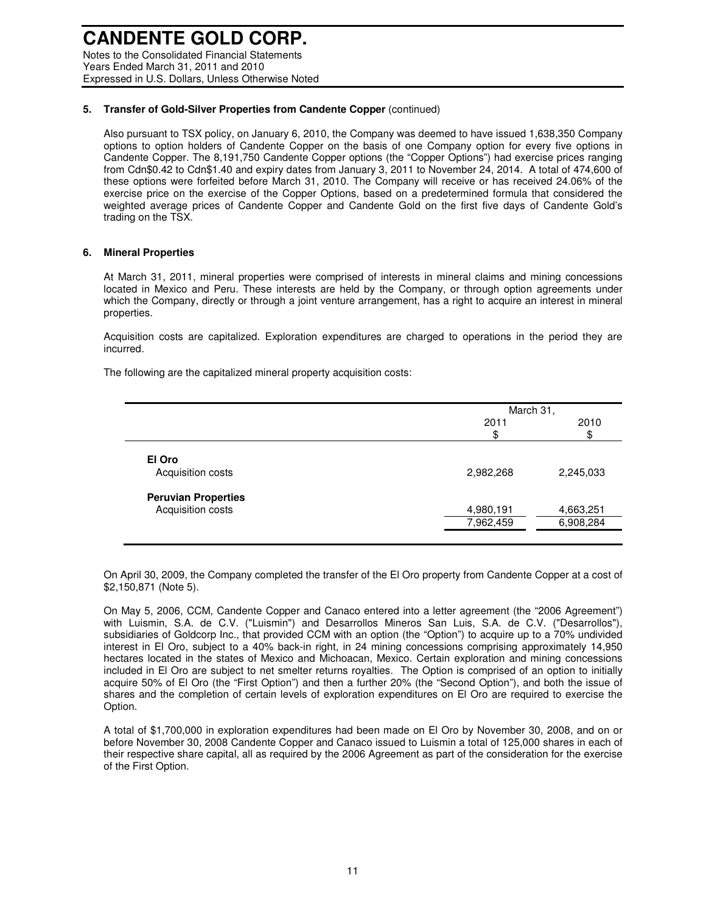Years Ended March 31, 2011 and 2010 Expressed in U.S. Dollars, Unless Otherwise Noted

## **5. Transfer of Gold-Silver Properties from Candente Copper** (continued)

Also pursuant to TSX policy, on January 6, 2010, the Company was deemed to have issued 1,638,350 Company options to option holders of Candente Copper on the basis of one Company option for every five options in Candente Copper. The 8,191,750 Candente Copper options (the "Copper Options") had exercise prices ranging from Cdn\$0.42 to Cdn\$1.40 and expiry dates from January 3, 2011 to November 24, 2014. A total of 474,600 of these options were forfeited before March 31, 2010. The Company will receive or has received 24.06% of the exercise price on the exercise of the Copper Options, based on a predetermined formula that considered the weighted average prices of Candente Copper and Candente Gold on the first five days of Candente Gold's trading on the TSX.

## **6. Mineral Properties**

At March 31, 2011, mineral properties were comprised of interests in mineral claims and mining concessions located in Mexico and Peru. These interests are held by the Company, or through option agreements under which the Company, directly or through a joint venture arrangement, has a right to acquire an interest in mineral properties.

Acquisition costs are capitalized. Exploration expenditures are charged to operations in the period they are incurred.

The following are the capitalized mineral property acquisition costs:

|                            | March 31, |           |  |
|----------------------------|-----------|-----------|--|
|                            | 2011      | 2010      |  |
|                            | \$        | \$        |  |
| El Oro                     |           |           |  |
| Acquisition costs          | 2,982,268 | 2,245,033 |  |
| <b>Peruvian Properties</b> |           |           |  |
| Acquisition costs          | 4,980,191 | 4,663,251 |  |
|                            | 7,962,459 | 6,908,284 |  |

On April 30, 2009, the Company completed the transfer of the El Oro property from Candente Copper at a cost of \$2,150,871 (Note 5).

On May 5, 2006, CCM, Candente Copper and Canaco entered into a letter agreement (the "2006 Agreement") with Luismin, S.A. de C.V. ("Luismin") and Desarrollos Mineros San Luis, S.A. de C.V. ("Desarrollos"), subsidiaries of Goldcorp Inc., that provided CCM with an option (the "Option") to acquire up to a 70% undivided interest in El Oro, subject to a 40% back-in right, in 24 mining concessions comprising approximately 14,950 hectares located in the states of Mexico and Michoacan, Mexico. Certain exploration and mining concessions included in El Oro are subject to net smelter returns royalties. The Option is comprised of an option to initially acquire 50% of El Oro (the "First Option") and then a further 20% (the "Second Option"), and both the issue of shares and the completion of certain levels of exploration expenditures on El Oro are required to exercise the Option.

A total of \$1,700,000 in exploration expenditures had been made on El Oro by November 30, 2008, and on or before November 30, 2008 Candente Copper and Canaco issued to Luismin a total of 125,000 shares in each of their respective share capital, all as required by the 2006 Agreement as part of the consideration for the exercise of the First Option.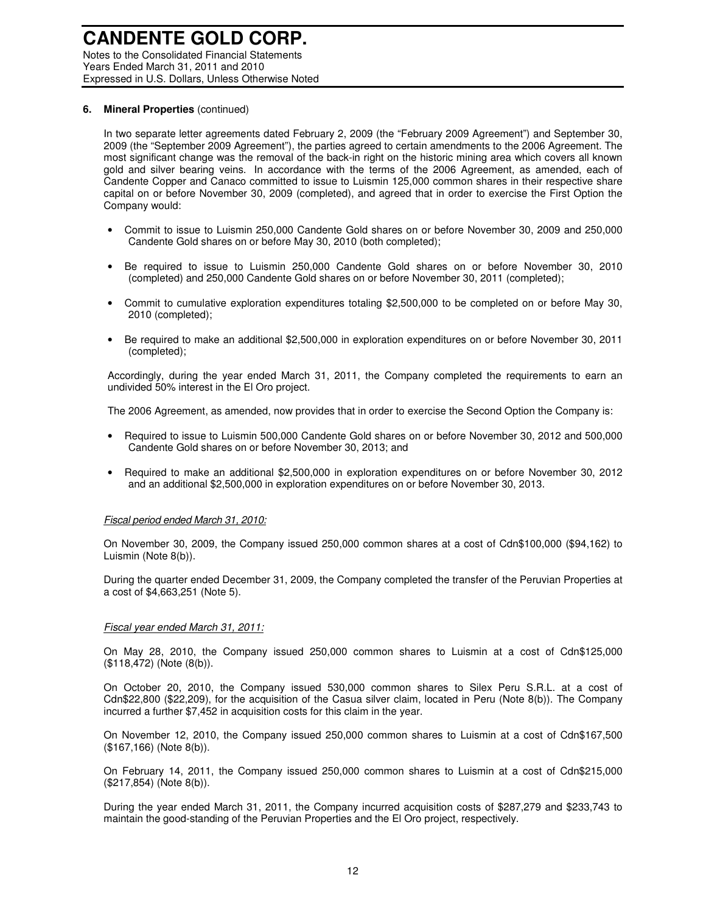## **6. Mineral Properties** (continued)

In two separate letter agreements dated February 2, 2009 (the "February 2009 Agreement") and September 30, 2009 (the "September 2009 Agreement"), the parties agreed to certain amendments to the 2006 Agreement. The most significant change was the removal of the back-in right on the historic mining area which covers all known gold and silver bearing veins. In accordance with the terms of the 2006 Agreement, as amended, each of Candente Copper and Canaco committed to issue to Luismin 125,000 common shares in their respective share capital on or before November 30, 2009 (completed), and agreed that in order to exercise the First Option the Company would:

- Commit to issue to Luismin 250,000 Candente Gold shares on or before November 30, 2009 and 250,000 Candente Gold shares on or before May 30, 2010 (both completed);
- Be required to issue to Luismin 250,000 Candente Gold shares on or before November 30, 2010 (completed) and 250,000 Candente Gold shares on or before November 30, 2011 (completed);
- Commit to cumulative exploration expenditures totaling \$2,500,000 to be completed on or before May 30, 2010 (completed);
- Be required to make an additional \$2,500,000 in exploration expenditures on or before November 30, 2011 (completed);

Accordingly, during the year ended March 31, 2011, the Company completed the requirements to earn an undivided 50% interest in the El Oro project.

The 2006 Agreement, as amended, now provides that in order to exercise the Second Option the Company is:

- Required to issue to Luismin 500,000 Candente Gold shares on or before November 30, 2012 and 500,000 Candente Gold shares on or before November 30, 2013; and
- Required to make an additional \$2,500,000 in exploration expenditures on or before November 30, 2012 and an additional \$2,500,000 in exploration expenditures on or before November 30, 2013.

#### Fiscal period ended March 31, 2010:

On November 30, 2009, the Company issued 250,000 common shares at a cost of Cdn\$100,000 (\$94,162) to Luismin (Note 8(b)).

During the quarter ended December 31, 2009, the Company completed the transfer of the Peruvian Properties at a cost of \$4,663,251 (Note 5).

#### Fiscal year ended March 31, 2011:

On May 28, 2010, the Company issued 250,000 common shares to Luismin at a cost of Cdn\$125,000 (\$118,472) (Note (8(b)).

On October 20, 2010, the Company issued 530,000 common shares to Silex Peru S.R.L. at a cost of Cdn\$22,800 (\$22,209), for the acquisition of the Casua silver claim, located in Peru (Note 8(b)). The Company incurred a further \$7,452 in acquisition costs for this claim in the year.

On November 12, 2010, the Company issued 250,000 common shares to Luismin at a cost of Cdn\$167,500 (\$167,166) (Note 8(b)).

On February 14, 2011, the Company issued 250,000 common shares to Luismin at a cost of Cdn\$215,000 (\$217,854) (Note 8(b)).

During the year ended March 31, 2011, the Company incurred acquisition costs of \$287,279 and \$233,743 to maintain the good-standing of the Peruvian Properties and the El Oro project, respectively.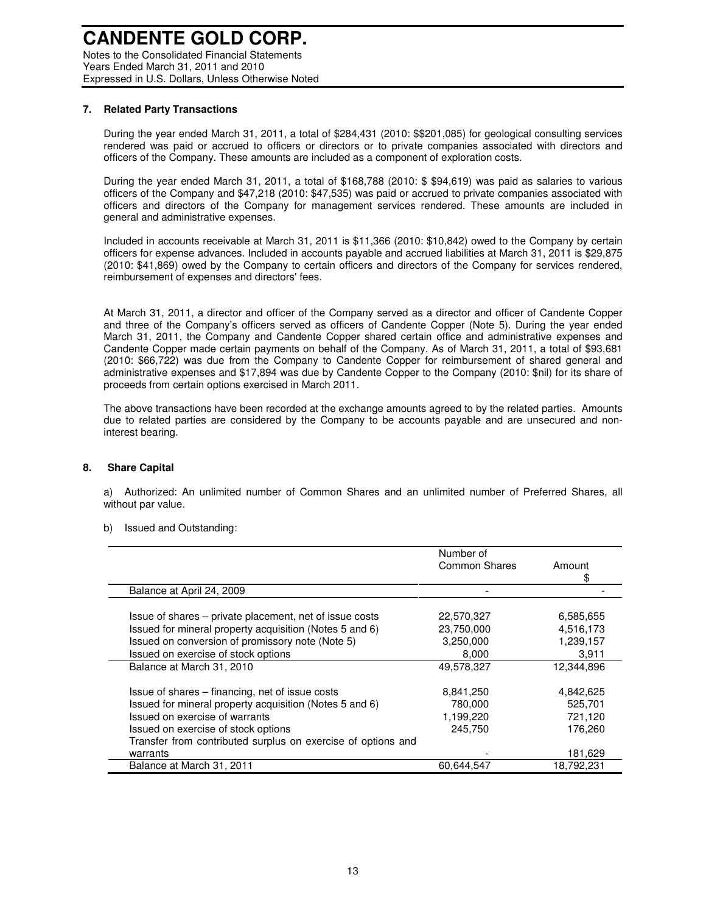## **7. Related Party Transactions**

During the year ended March 31, 2011, a total of \$284,431 (2010: \$\$201,085) for geological consulting services rendered was paid or accrued to officers or directors or to private companies associated with directors and officers of the Company. These amounts are included as a component of exploration costs.

During the year ended March 31, 2011, a total of \$168,788 (2010: \$ \$94,619) was paid as salaries to various officers of the Company and \$47,218 (2010: \$47,535) was paid or accrued to private companies associated with officers and directors of the Company for management services rendered. These amounts are included in general and administrative expenses.

Included in accounts receivable at March 31, 2011 is \$11,366 (2010: \$10,842) owed to the Company by certain officers for expense advances. Included in accounts payable and accrued liabilities at March 31, 2011 is \$29,875 (2010: \$41,869) owed by the Company to certain officers and directors of the Company for services rendered, reimbursement of expenses and directors' fees.

At March 31, 2011, a director and officer of the Company served as a director and officer of Candente Copper and three of the Company's officers served as officers of Candente Copper (Note 5). During the year ended March 31, 2011, the Company and Candente Copper shared certain office and administrative expenses and Candente Copper made certain payments on behalf of the Company. As of March 31, 2011, a total of \$93,681 (2010: \$66,722) was due from the Company to Candente Copper for reimbursement of shared general and administrative expenses and \$17,894 was due by Candente Copper to the Company (2010: \$nil) for its share of proceeds from certain options exercised in March 2011.

The above transactions have been recorded at the exchange amounts agreed to by the related parties. Amounts due to related parties are considered by the Company to be accounts payable and are unsecured and noninterest bearing.

## **8. Share Capital**

a) Authorized: An unlimited number of Common Shares and an unlimited number of Preferred Shares, all without par value.

Number of

|                                                              | ו שעווווטיו<br>Common Shares | Amount<br>\$ |
|--------------------------------------------------------------|------------------------------|--------------|
| Balance at April 24, 2009                                    |                              |              |
| Issue of shares - private placement, net of issue costs      | 22,570,327                   | 6,585,655    |
| Issued for mineral property acquisition (Notes 5 and 6)      | 23,750,000                   | 4,516,173    |
| Issued on conversion of promissory note (Note 5)             | 3,250,000                    | 1,239,157    |
| Issued on exercise of stock options                          | 8,000                        | 3,911        |
| Balance at March 31, 2010                                    | 49,578,327                   | 12,344,896   |
| Issue of shares – financing, net of issue costs              | 8,841,250                    | 4,842,625    |
| Issued for mineral property acquisition (Notes 5 and 6)      | 780,000                      | 525,701      |
| Issued on exercise of warrants                               | 1,199,220                    | 721,120      |
| Issued on exercise of stock options                          | 245,750                      | 176,260      |
| Transfer from contributed surplus on exercise of options and |                              |              |
| warrants                                                     |                              | 181,629      |
| Balance at March 31, 2011                                    | 60,644,547                   | 18,792,231   |

b) Issued and Outstanding: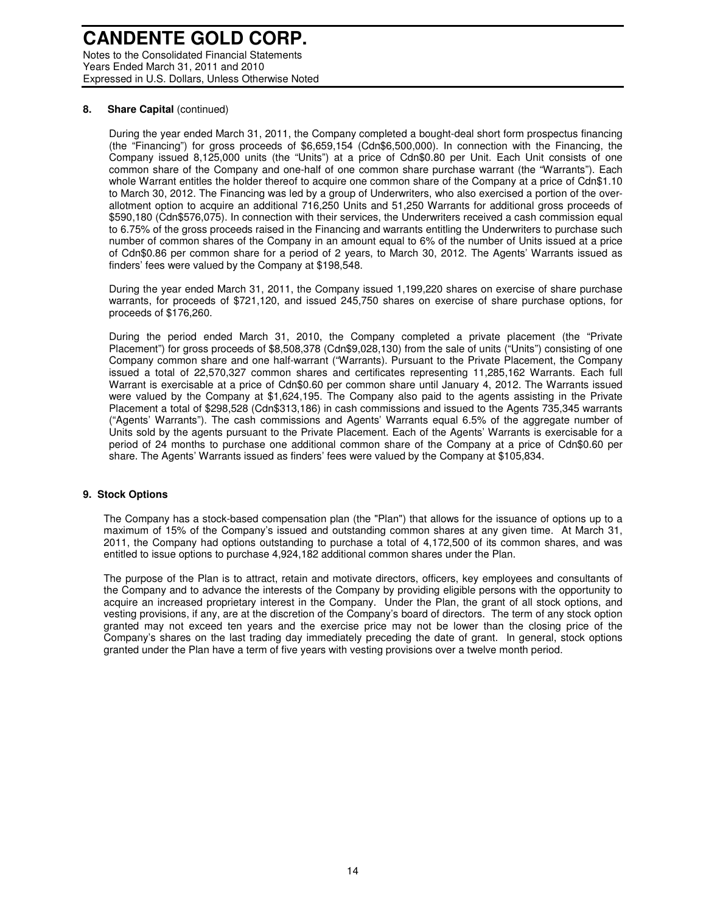## **8.** Share Capital (continued)

During the year ended March 31, 2011, the Company completed a bought-deal short form prospectus financing (the "Financing") for gross proceeds of \$6,659,154 (Cdn\$6,500,000). In connection with the Financing, the Company issued 8,125,000 units (the "Units") at a price of Cdn\$0.80 per Unit. Each Unit consists of one common share of the Company and one-half of one common share purchase warrant (the "Warrants"). Each whole Warrant entitles the holder thereof to acquire one common share of the Company at a price of Cdn\$1.10 to March 30, 2012. The Financing was led by a group of Underwriters, who also exercised a portion of the overallotment option to acquire an additional 716,250 Units and 51,250 Warrants for additional gross proceeds of \$590,180 (Cdn\$576,075). In connection with their services, the Underwriters received a cash commission equal to 6.75% of the gross proceeds raised in the Financing and warrants entitling the Underwriters to purchase such number of common shares of the Company in an amount equal to 6% of the number of Units issued at a price of Cdn\$0.86 per common share for a period of 2 years, to March 30, 2012. The Agents' Warrants issued as finders' fees were valued by the Company at \$198,548.

During the year ended March 31, 2011, the Company issued 1,199,220 shares on exercise of share purchase warrants, for proceeds of \$721,120, and issued 245,750 shares on exercise of share purchase options, for proceeds of \$176,260.

During the period ended March 31, 2010, the Company completed a private placement (the "Private Placement") for gross proceeds of \$8,508,378 (Cdn\$9,028,130) from the sale of units ("Units") consisting of one Company common share and one half-warrant ("Warrants). Pursuant to the Private Placement, the Company issued a total of 22,570,327 common shares and certificates representing 11,285,162 Warrants. Each full Warrant is exercisable at a price of Cdn\$0.60 per common share until January 4, 2012. The Warrants issued were valued by the Company at \$1,624,195. The Company also paid to the agents assisting in the Private Placement a total of \$298,528 (Cdn\$313,186) in cash commissions and issued to the Agents 735,345 warrants ("Agents' Warrants"). The cash commissions and Agents' Warrants equal 6.5% of the aggregate number of Units sold by the agents pursuant to the Private Placement. Each of the Agents' Warrants is exercisable for a period of 24 months to purchase one additional common share of the Company at a price of Cdn\$0.60 per share. The Agents' Warrants issued as finders' fees were valued by the Company at \$105,834.

## **9. Stock Options**

The Company has a stock-based compensation plan (the "Plan") that allows for the issuance of options up to a maximum of 15% of the Company's issued and outstanding common shares at any given time. At March 31, 2011, the Company had options outstanding to purchase a total of 4,172,500 of its common shares, and was entitled to issue options to purchase 4,924,182 additional common shares under the Plan.

The purpose of the Plan is to attract, retain and motivate directors, officers, key employees and consultants of the Company and to advance the interests of the Company by providing eligible persons with the opportunity to acquire an increased proprietary interest in the Company. Under the Plan, the grant of all stock options, and vesting provisions, if any, are at the discretion of the Company's board of directors. The term of any stock option granted may not exceed ten years and the exercise price may not be lower than the closing price of the Company's shares on the last trading day immediately preceding the date of grant. In general, stock options granted under the Plan have a term of five years with vesting provisions over a twelve month period.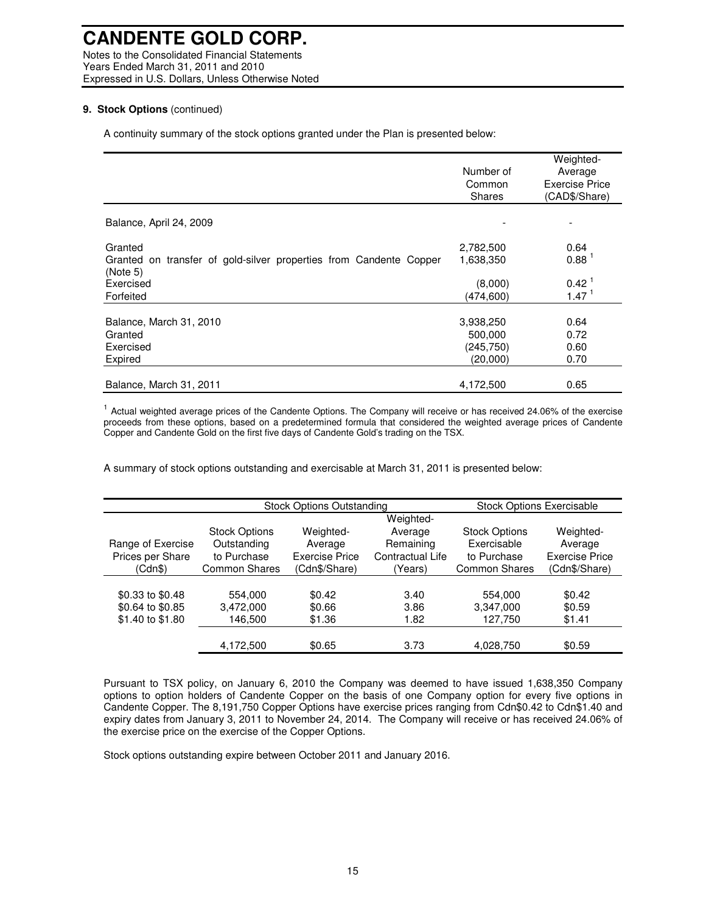Notes to the Consolidated Financial Statements Years Ended March 31, 2011 and 2010 Expressed in U.S. Dollars, Unless Otherwise Noted

## **9. Stock Options** (continued)

A continuity summary of the stock options granted under the Plan is presented below:

|                                                                                           | Number of<br>Common<br><b>Shares</b>           | Weighted-<br>Average<br><b>Exercise Price</b><br>(CAD\$/Share) |
|-------------------------------------------------------------------------------------------|------------------------------------------------|----------------------------------------------------------------|
| Balance, April 24, 2009                                                                   |                                                |                                                                |
| Granted<br>Granted on transfer of gold-silver properties from Candente Copper<br>(Note 5) | 2,782,500<br>1,638,350                         | 0.64<br>0.88 <sup>1</sup>                                      |
| Exercised                                                                                 | (8,000)                                        | 0.42 <sup>1</sup>                                              |
| Forfeited                                                                                 | (474, 600)                                     | 1.47 <sup>1</sup>                                              |
| Balance, March 31, 2010<br>Granted<br>Exercised<br>Expired                                | 3,938,250<br>500,000<br>(245, 750)<br>(20,000) | 0.64<br>0.72<br>0.60<br>0.70                                   |
| Balance, March 31, 2011                                                                   | 4,172,500                                      | 0.65                                                           |

<sup>1</sup> Actual weighted average prices of the Candente Options. The Company will receive or has received 24.06% of the exercise proceeds from these options, based on a predetermined formula that considered the weighted average prices of Candente Copper and Candente Gold on the first five days of Candente Gold's trading on the TSX.

A summary of stock options outstanding and exercisable at March 31, 2011 is presented below:

|                   | <b>Stock Options Outstanding</b> |                       | <b>Stock Options Exercisable</b> |                      |                       |
|-------------------|----------------------------------|-----------------------|----------------------------------|----------------------|-----------------------|
|                   |                                  |                       | Weighted-                        |                      |                       |
|                   | <b>Stock Options</b>             | Weighted-             | Average                          | <b>Stock Options</b> | Weighted-             |
| Range of Exercise | Outstanding                      | Average               | Remaining                        | Exercisable          | Average               |
| Prices per Share  | to Purchase                      | <b>Exercise Price</b> | Contractual Life                 | to Purchase          | <b>Exercise Price</b> |
| (Cdn\$)           | Common Shares                    | (Cdn\$/Share)         | (Years)                          | <b>Common Shares</b> | (Cdn\$/Share)         |
|                   |                                  |                       |                                  |                      |                       |
| \$0.33 to \$0.48  | 554.000                          | \$0.42                | 3.40                             | 554.000              | \$0.42                |
| \$0.64 to \$0.85  | 3,472,000                        | \$0.66                | 3.86                             | 3,347,000            | \$0.59                |
| \$1.40 to \$1.80  | 146,500                          | \$1.36                | 1.82                             | 127,750              | \$1.41                |
|                   |                                  |                       |                                  |                      |                       |
|                   | 4,172,500                        | \$0.65                | 3.73                             | 4,028,750            | \$0.59                |

Pursuant to TSX policy, on January 6, 2010 the Company was deemed to have issued 1,638,350 Company options to option holders of Candente Copper on the basis of one Company option for every five options in Candente Copper. The 8,191,750 Copper Options have exercise prices ranging from Cdn\$0.42 to Cdn\$1.40 and expiry dates from January 3, 2011 to November 24, 2014. The Company will receive or has received 24.06% of the exercise price on the exercise of the Copper Options.

Stock options outstanding expire between October 2011 and January 2016.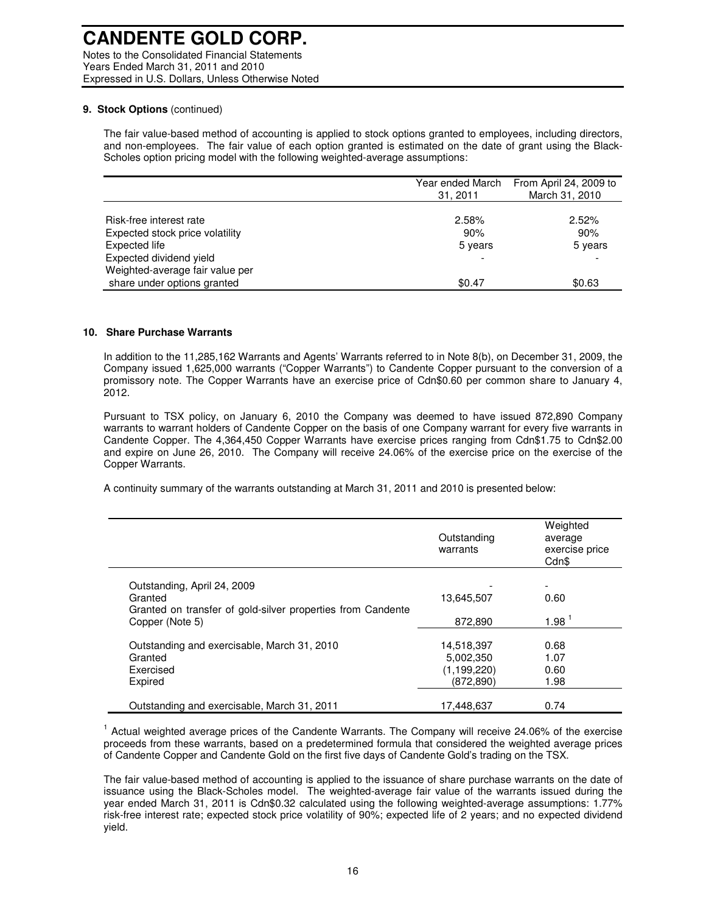## **9. Stock Options** (continued)

The fair value-based method of accounting is applied to stock options granted to employees, including directors, and non-employees. The fair value of each option granted is estimated on the date of grant using the Black-Scholes option pricing model with the following weighted-average assumptions:

| Year ended March         | From April 24, 2009 to |
|--------------------------|------------------------|
| 31, 2011                 | March 31, 2010         |
| 2.58%                    | 2.52%                  |
| 90%                      | 90%                    |
| 5 years                  | 5 years                |
| $\overline{\phantom{0}}$ | \$0.63                 |
|                          | \$0.47                 |

## **10. Share Purchase Warrants**

In addition to the 11,285,162 Warrants and Agents' Warrants referred to in Note 8(b), on December 31, 2009, the Company issued 1,625,000 warrants ("Copper Warrants") to Candente Copper pursuant to the conversion of a promissory note. The Copper Warrants have an exercise price of Cdn\$0.60 per common share to January 4, 2012.

Pursuant to TSX policy, on January 6, 2010 the Company was deemed to have issued 872,890 Company warrants to warrant holders of Candente Copper on the basis of one Company warrant for every five warrants in Candente Copper. The 4,364,450 Copper Warrants have exercise prices ranging from Cdn\$1.75 to Cdn\$2.00 and expire on June 26, 2010. The Company will receive 24.06% of the exercise price on the exercise of the Copper Warrants.

A continuity summary of the warrants outstanding at March 31, 2011 and 2010 is presented below:

|                                                             | Outstanding<br>warrants | Weighted<br>average<br>exercise price<br>Cdn\$ |
|-------------------------------------------------------------|-------------------------|------------------------------------------------|
| Outstanding, April 24, 2009                                 |                         | -                                              |
| Granted                                                     | 13,645,507              | 0.60                                           |
| Granted on transfer of gold-silver properties from Candente |                         |                                                |
| Copper (Note 5)                                             | 872,890                 | 1.98 <sup>1</sup>                              |
|                                                             |                         |                                                |
| Outstanding and exercisable, March 31, 2010                 | 14,518,397              | 0.68                                           |
| Granted                                                     | 5,002,350               | 1.07                                           |
| Exercised                                                   | (1, 199, 220)           | 0.60                                           |
| Expired                                                     | (872, 890)              | 1.98                                           |
| Outstanding and exercisable, March 31, 2011                 | 17.448.637              | 0.74                                           |

<sup>1</sup> Actual weighted average prices of the Candente Warrants. The Company will receive 24.06% of the exercise proceeds from these warrants, based on a predetermined formula that considered the weighted average prices of Candente Copper and Candente Gold on the first five days of Candente Gold's trading on the TSX.

The fair value-based method of accounting is applied to the issuance of share purchase warrants on the date of issuance using the Black-Scholes model. The weighted-average fair value of the warrants issued during the year ended March 31, 2011 is Cdn\$0.32 calculated using the following weighted-average assumptions: 1.77% risk-free interest rate; expected stock price volatility of 90%; expected life of 2 years; and no expected dividend yield.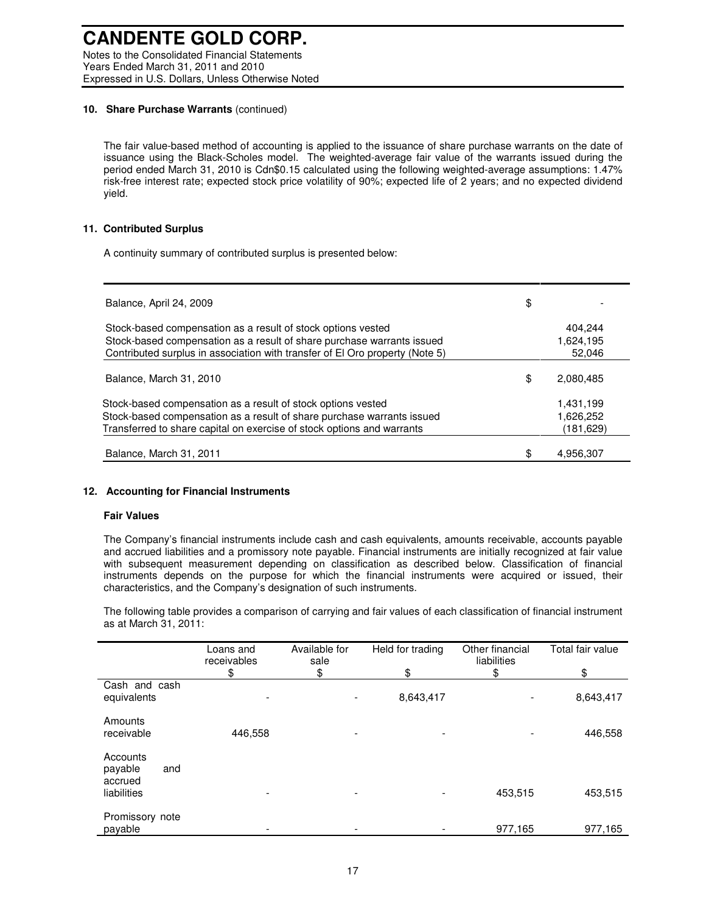Years Ended March 31, 2011 and 2010 Expressed in U.S. Dollars, Unless Otherwise Noted

## **10. Share Purchase Warrants** (continued)

The fair value-based method of accounting is applied to the issuance of share purchase warrants on the date of issuance using the Black-Scholes model. The weighted-average fair value of the warrants issued during the period ended March 31, 2010 is Cdn\$0.15 calculated using the following weighted-average assumptions: 1.47% risk-free interest rate; expected stock price volatility of 90%; expected life of 2 years; and no expected dividend yield.

## **11. Contributed Surplus**

A continuity summary of contributed surplus is presented below:

| Balance, April 24, 2009                                                                                                                                                                                                | \$                                   |
|------------------------------------------------------------------------------------------------------------------------------------------------------------------------------------------------------------------------|--------------------------------------|
| Stock-based compensation as a result of stock options vested<br>Stock-based compensation as a result of share purchase warrants issued<br>Contributed surplus in association with transfer of El Oro property (Note 5) | 404.244<br>1,624,195<br>52.046       |
| Balance, March 31, 2010                                                                                                                                                                                                | \$<br>2,080,485                      |
| Stock-based compensation as a result of stock options vested<br>Stock-based compensation as a result of share purchase warrants issued<br>Transferred to share capital on exercise of stock options and warrants       | 1,431,199<br>1,626,252<br>(181, 629) |
| Balance, March 31, 2011                                                                                                                                                                                                | \$<br>4,956,307                      |

## **12. Accounting for Financial Instruments**

## **Fair Values**

The Company's financial instruments include cash and cash equivalents, amounts receivable, accounts payable and accrued liabilities and a promissory note payable. Financial instruments are initially recognized at fair value with subsequent measurement depending on classification as described below. Classification of financial instruments depends on the purpose for which the financial instruments were acquired or issued, their characteristics, and the Company's designation of such instruments.

The following table provides a comparison of carrying and fair values of each classification of financial instrument as at March 31, 2011:

|                                       | Loans and<br>receivables<br>\$ | Available for<br>sale<br>\$ | Held for trading<br>\$ | Other financial<br>liabilities<br>\$ | Total fair value<br>\$ |
|---------------------------------------|--------------------------------|-----------------------------|------------------------|--------------------------------------|------------------------|
| Cash and cash<br>equivalents          |                                | $\overline{\phantom{a}}$    | 8,643,417              |                                      | 8,643,417              |
| Amounts<br>receivable                 | 446,558                        | $\overline{\phantom{a}}$    |                        |                                      | 446,558                |
| Accounts<br>payable<br>and<br>accrued |                                |                             |                        |                                      |                        |
| liabilities                           |                                | $\overline{\phantom{a}}$    |                        | 453,515                              | 453,515                |
| Promissory note<br>payable            |                                |                             |                        | 977,165                              | 977.165                |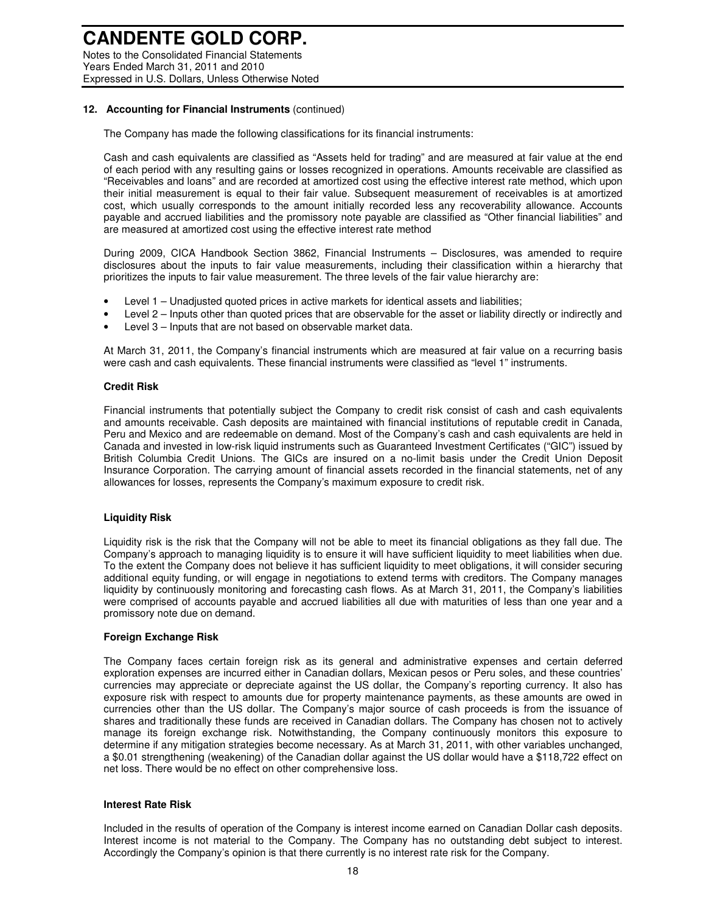Notes to the Consolidated Financial Statements Years Ended March 31, 2011 and 2010 Expressed in U.S. Dollars, Unless Otherwise Noted

## **12. Accounting for Financial Instruments** (continued)

The Company has made the following classifications for its financial instruments:

Cash and cash equivalents are classified as "Assets held for trading" and are measured at fair value at the end of each period with any resulting gains or losses recognized in operations. Amounts receivable are classified as "Receivables and loans" and are recorded at amortized cost using the effective interest rate method, which upon their initial measurement is equal to their fair value. Subsequent measurement of receivables is at amortized cost, which usually corresponds to the amount initially recorded less any recoverability allowance. Accounts payable and accrued liabilities and the promissory note payable are classified as "Other financial liabilities" and are measured at amortized cost using the effective interest rate method

During 2009, CICA Handbook Section 3862, Financial Instruments – Disclosures, was amended to require disclosures about the inputs to fair value measurements, including their classification within a hierarchy that prioritizes the inputs to fair value measurement. The three levels of the fair value hierarchy are:

- Level 1 Unadjusted quoted prices in active markets for identical assets and liabilities;
- Level 2 Inputs other than quoted prices that are observable for the asset or liability directly or indirectly and
- Level 3 Inputs that are not based on observable market data.

At March 31, 2011, the Company's financial instruments which are measured at fair value on a recurring basis were cash and cash equivalents. These financial instruments were classified as "level 1" instruments.

## **Credit Risk**

Financial instruments that potentially subject the Company to credit risk consist of cash and cash equivalents and amounts receivable. Cash deposits are maintained with financial institutions of reputable credit in Canada, Peru and Mexico and are redeemable on demand. Most of the Company's cash and cash equivalents are held in Canada and invested in low-risk liquid instruments such as Guaranteed Investment Certificates ("GIC") issued by British Columbia Credit Unions. The GICs are insured on a no-limit basis under the Credit Union Deposit Insurance Corporation. The carrying amount of financial assets recorded in the financial statements, net of any allowances for losses, represents the Company's maximum exposure to credit risk.

## **Liquidity Risk**

Liquidity risk is the risk that the Company will not be able to meet its financial obligations as they fall due. The Company's approach to managing liquidity is to ensure it will have sufficient liquidity to meet liabilities when due. To the extent the Company does not believe it has sufficient liquidity to meet obligations, it will consider securing additional equity funding, or will engage in negotiations to extend terms with creditors. The Company manages liquidity by continuously monitoring and forecasting cash flows. As at March 31, 2011, the Company's liabilities were comprised of accounts payable and accrued liabilities all due with maturities of less than one year and a promissory note due on demand.

## **Foreign Exchange Risk**

The Company faces certain foreign risk as its general and administrative expenses and certain deferred exploration expenses are incurred either in Canadian dollars, Mexican pesos or Peru soles, and these countries' currencies may appreciate or depreciate against the US dollar, the Company's reporting currency. It also has exposure risk with respect to amounts due for property maintenance payments, as these amounts are owed in currencies other than the US dollar. The Company's major source of cash proceeds is from the issuance of shares and traditionally these funds are received in Canadian dollars. The Company has chosen not to actively manage its foreign exchange risk. Notwithstanding, the Company continuously monitors this exposure to determine if any mitigation strategies become necessary. As at March 31, 2011, with other variables unchanged, a \$0.01 strengthening (weakening) of the Canadian dollar against the US dollar would have a \$118,722 effect on net loss. There would be no effect on other comprehensive loss.

## **Interest Rate Risk**

Included in the results of operation of the Company is interest income earned on Canadian Dollar cash deposits. Interest income is not material to the Company. The Company has no outstanding debt subject to interest. Accordingly the Company's opinion is that there currently is no interest rate risk for the Company.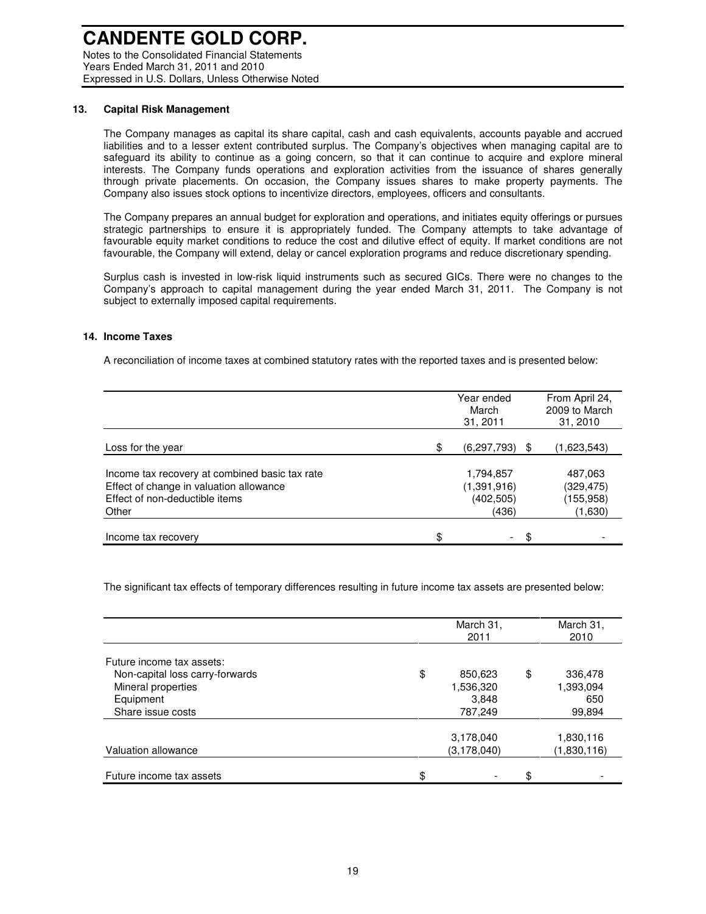## **13. Capital Risk Management**

The Company manages as capital its share capital, cash and cash equivalents, accounts payable and accrued liabilities and to a lesser extent contributed surplus. The Company's objectives when managing capital are to safeguard its ability to continue as a going concern, so that it can continue to acquire and explore mineral interests. The Company funds operations and exploration activities from the issuance of shares generally through private placements. On occasion, the Company issues shares to make property payments. The Company also issues stock options to incentivize directors, employees, officers and consultants.

The Company prepares an annual budget for exploration and operations, and initiates equity offerings or pursues strategic partnerships to ensure it is appropriately funded. The Company attempts to take advantage of favourable equity market conditions to reduce the cost and dilutive effect of equity. If market conditions are not favourable, the Company will extend, delay or cancel exploration programs and reduce discretionary spending.

Surplus cash is invested in low-risk liquid instruments such as secured GICs. There were no changes to the Company's approach to capital management during the year ended March 31, 2011. The Company is not subject to externally imposed capital requirements.

## **14. Income Taxes**

A reconciliation of income taxes at combined statutory rates with the reported taxes and is presented below:

|                                                                                                                                      | Year ended<br>March<br>31, 2011                 |   | From April 24,<br>2009 to March<br>31, 2010  |
|--------------------------------------------------------------------------------------------------------------------------------------|-------------------------------------------------|---|----------------------------------------------|
| Loss for the year                                                                                                                    | \$<br>$(6,297,793)$ \$                          |   | (1,623,543)                                  |
| Income tax recovery at combined basic tax rate<br>Effect of change in valuation allowance<br>Effect of non-deductible items<br>Other | 1,794,857<br>(1,391,916)<br>(402, 505)<br>(436) |   | 487,063<br>(329,475)<br>(155,958)<br>(1,630) |
| Income tax recovery                                                                                                                  | \$                                              | S |                                              |

The significant tax effects of temporary differences resulting in future income tax assets are presented below:

|                                 | March 31,<br>2011              | March 31,<br>2010 |
|---------------------------------|--------------------------------|-------------------|
| Future income tax assets:       |                                |                   |
| Non-capital loss carry-forwards | \$<br>850,623                  | \$<br>336,478     |
| Mineral properties              | 1,536,320                      | 1,393,094         |
| Equipment                       | 3,848                          | 650               |
| Share issue costs               | 787,249                        | 99,894            |
|                                 | 3,178,040                      | 1,830,116         |
| Valuation allowance             | (3, 178, 040)                  | (1,830,116)       |
| Future income tax assets        | \$<br>$\overline{\phantom{a}}$ | \$                |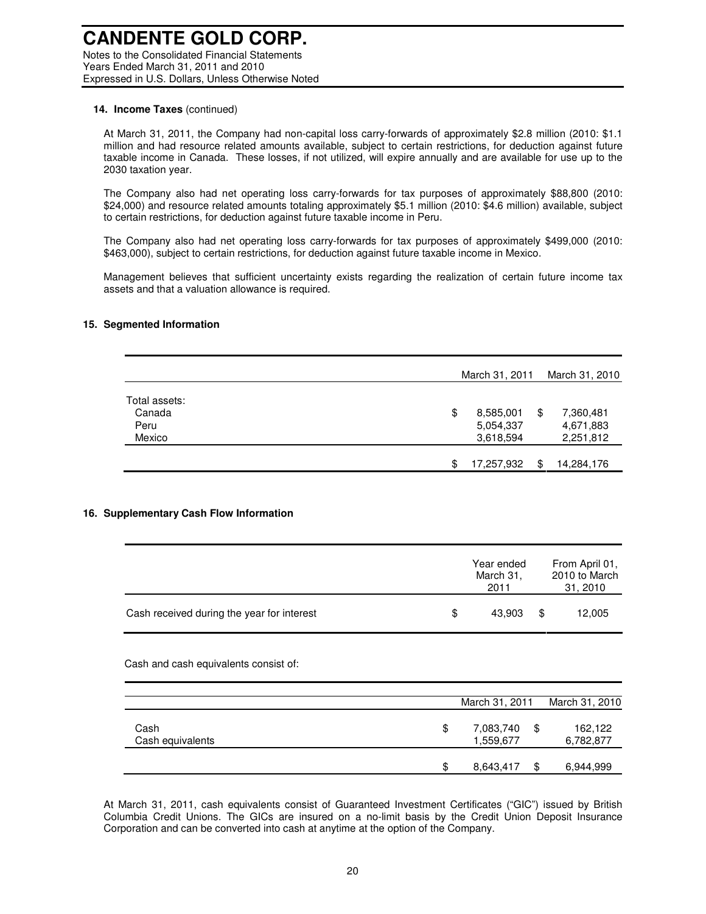## **14. Income Taxes** (continued)

At March 31, 2011, the Company had non-capital loss carry-forwards of approximately \$2.8 million (2010: \$1.1 million and had resource related amounts available, subject to certain restrictions, for deduction against future taxable income in Canada. These losses, if not utilized, will expire annually and are available for use up to the 2030 taxation year.

The Company also had net operating loss carry-forwards for tax purposes of approximately \$88,800 (2010: \$24,000) and resource related amounts totaling approximately \$5.1 million (2010: \$4.6 million) available, subject to certain restrictions, for deduction against future taxable income in Peru.

The Company also had net operating loss carry-forwards for tax purposes of approximately \$499,000 (2010: \$463,000), subject to certain restrictions, for deduction against future taxable income in Mexico.

Management believes that sufficient uncertainty exists regarding the realization of certain future income tax assets and that a valuation allowance is required.

## **15. Segmented Information**

|                | March 31, 2011<br>March 31, 2010                             |
|----------------|--------------------------------------------------------------|
| Total assets:  |                                                              |
| Canada<br>Peru | 8,585,001<br>\$<br>7,360,481<br>\$<br>5,054,337<br>4,671,883 |
| Mexico         | 3,618,594<br>2,251,812                                       |
|                | 17,257,932<br>14,284,176<br>\$<br>\$                         |

## **16. Supplementary Cash Flow Information**

|                                            | Year ended<br>March 31,<br>2011 |      | From April 01,<br>2010 to March<br>31, 2010 |
|--------------------------------------------|---------------------------------|------|---------------------------------------------|
| Cash received during the year for interest | \$<br>43.903                    | - \$ | 12,005                                      |

## Cash and cash equivalents consist of:

|                          | March 31, 2011               | March 31, 2010             |
|--------------------------|------------------------------|----------------------------|
| Cash<br>Cash equivalents | \$<br>7,083,740<br>1,559,677 | 162,122<br>\$<br>6,782,877 |
|                          | \$<br>8,643,417              | 6,944,999<br>\$            |

At March 31, 2011, cash equivalents consist of Guaranteed Investment Certificates ("GIC") issued by British Columbia Credit Unions. The GICs are insured on a no-limit basis by the Credit Union Deposit Insurance Corporation and can be converted into cash at anytime at the option of the Company.